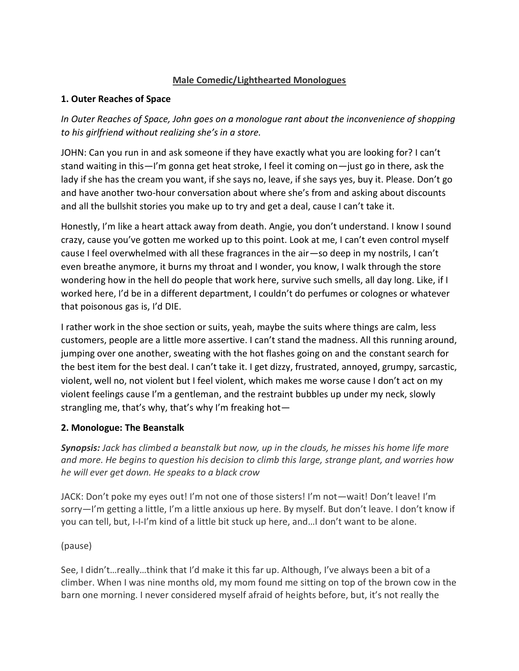# **Male Comedic/Lighthearted Monologues**

### **1. Outer Reaches of Space**

*In Outer Reaches of Space, John goes on a monologue rant about the inconvenience of shopping to his girlfriend without realizing she's in a store.*

JOHN: Can you run in and ask someone if they have exactly what you are looking for? I can't stand waiting in this—I'm gonna get heat stroke, I feel it coming on—just go in there, ask the lady if she has the cream you want, if she says no, leave, if she says yes, buy it. Please. Don't go and have another two-hour conversation about where she's from and asking about discounts and all the bullshit stories you make up to try and get a deal, cause I can't take it.

Honestly, I'm like a heart attack away from death. Angie, you don't understand. I know I sound crazy, cause you've gotten me worked up to this point. Look at me, I can't even control myself cause I feel overwhelmed with all these fragrances in the air—so deep in my nostrils, I can't even breathe anymore, it burns my throat and I wonder, you know, I walk through the store wondering how in the hell do people that work here, survive such smells, all day long. Like, if I worked here, I'd be in a different department, I couldn't do perfumes or colognes or whatever that poisonous gas is, I'd DIE.

I rather work in the shoe section or suits, yeah, maybe the suits where things are calm, less customers, people are a little more assertive. I can't stand the madness. All this running around, jumping over one another, sweating with the hot flashes going on and the constant search for the best item for the best deal. I can't take it. I get dizzy, frustrated, annoyed, grumpy, sarcastic, violent, well no, not violent but I feel violent, which makes me worse cause I don't act on my violent feelings cause I'm a gentleman, and the restraint bubbles up under my neck, slowly strangling me, that's why, that's why I'm freaking hot—

### **2. Monologue: The Beanstalk**

*Synopsis: Jack has climbed a beanstalk but now, up in the clouds, he misses his home life more and more. He begins to question his decision to climb this large, strange plant, and worries how he will ever get down. He speaks to a black crow*

JACK: Don't poke my eyes out! I'm not one of those sisters! I'm not—wait! Don't leave! I'm sorry—I'm getting a little, I'm a little anxious up here. By myself. But don't leave. I don't know if you can tell, but, I-I-I'm kind of a little bit stuck up here, and…I don't want to be alone.

(pause)

See, I didn't…really…think that I'd make it this far up. Although, I've always been a bit of a climber. When I was nine months old, my mom found me sitting on top of the brown cow in the barn one morning. I never considered myself afraid of heights before, but, it's not really the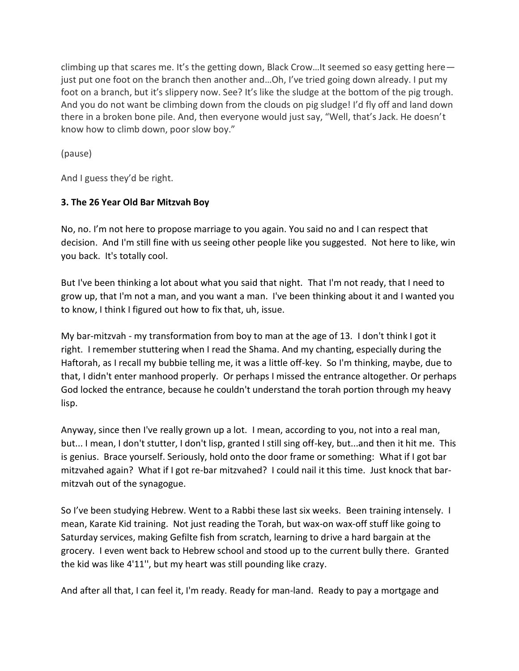climbing up that scares me. It's the getting down, Black Crow…It seemed so easy getting here just put one foot on the branch then another and…Oh, I've tried going down already. I put my foot on a branch, but it's slippery now. See? It's like the sludge at the bottom of the pig trough. And you do not want be climbing down from the clouds on pig sludge! I'd fly off and land down there in a broken bone pile. And, then everyone would just say, "Well, that's Jack. He doesn't know how to climb down, poor slow boy."

(pause)

And I guess they'd be right.

# **3. The 26 Year Old Bar Mitzvah Boy**

No, no. I'm not here to propose marriage to you again. You said no and I can respect that decision. And I'm still fine with us seeing other people like you suggested. Not here to like, win you back. It's totally cool.

But I've been thinking a lot about what you said that night. That I'm not ready, that I need to grow up, that I'm not a man, and you want a man. I've been thinking about it and I wanted you to know, I think I figured out how to fix that, uh, issue.

My bar-mitzvah - my transformation from boy to man at the age of 13. I don't think I got it right. I remember stuttering when I read the Shama. And my chanting, especially during the Haftorah, as I recall my bubbie telling me, it was a little off-key. So I'm thinking, maybe, due to that, I didn't enter manhood properly. Or perhaps I missed the entrance altogether. Or perhaps God locked the entrance, because he couldn't understand the torah portion through my heavy lisp.

Anyway, since then I've really grown up a lot. I mean, according to you, not into a real man, but... I mean, I don't stutter, I don't lisp, granted I still sing off-key, but...and then it hit me. This is genius. Brace yourself. Seriously, hold onto the door frame or something: What if I got bar mitzvahed again? What if I got re-bar mitzvahed? I could nail it this time. Just knock that barmitzvah out of the synagogue.

So I've been studying Hebrew. Went to a Rabbi these last six weeks. Been training intensely. I mean, Karate Kid training. Not just reading the Torah, but wax-on wax-off stuff like going to Saturday services, making Gefilte fish from scratch, learning to drive a hard bargain at the grocery. I even went back to Hebrew school and stood up to the current bully there. Granted the kid was like 4'11'', but my heart was still pounding like crazy.

And after all that, I can feel it, I'm ready. Ready for man-land. Ready to pay a mortgage and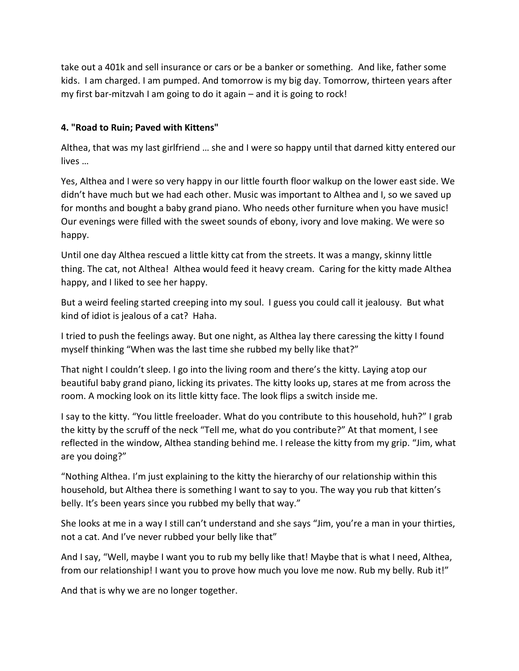take out a 401k and sell insurance or cars or be a banker or something. And like, father some kids. I am charged. I am pumped. And tomorrow is my big day. Tomorrow, thirteen years after my first bar-mitzvah I am going to do it again – and it is going to rock!

## **4. "Road to Ruin; Paved with Kittens"**

Althea, that was my last girlfriend … she and I were so happy until that darned kitty entered our lives …

Yes, Althea and I were so very happy in our little fourth floor walkup on the lower east side. We didn't have much but we had each other. Music was important to Althea and I, so we saved up for months and bought a baby grand piano. Who needs other furniture when you have music! Our evenings were filled with the sweet sounds of ebony, ivory and love making. We were so happy.

Until one day Althea rescued a little kitty cat from the streets. It was a mangy, skinny little thing. The cat, not Althea! Althea would feed it heavy cream. Caring for the kitty made Althea happy, and I liked to see her happy.

But a weird feeling started creeping into my soul. I guess you could call it jealousy. But what kind of idiot is jealous of a cat? Haha.

I tried to push the feelings away. But one night, as Althea lay there caressing the kitty I found myself thinking "When was the last time she rubbed my belly like that?"

That night I couldn't sleep. I go into the living room and there's the kitty. Laying atop our beautiful baby grand piano, licking its privates. The kitty looks up, stares at me from across the room. A mocking look on its little kitty face. The look flips a switch inside me.

I say to the kitty. "You little freeloader. What do you contribute to this household, huh?" I grab the kitty by the scruff of the neck "Tell me, what do you contribute?" At that moment, I see reflected in the window, Althea standing behind me. I release the kitty from my grip. "Jim, what are you doing?"

"Nothing Althea. I'm just explaining to the kitty the hierarchy of our relationship within this household, but Althea there is something I want to say to you. The way you rub that kitten's belly. It's been years since you rubbed my belly that way."

She looks at me in a way I still can't understand and she says "Jim, you're a man in your thirties, not a cat. And I've never rubbed your belly like that"

And I say, "Well, maybe I want you to rub my belly like that! Maybe that is what I need, Althea, from our relationship! I want you to prove how much you love me now. Rub my belly. Rub it!"

And that is why we are no longer together.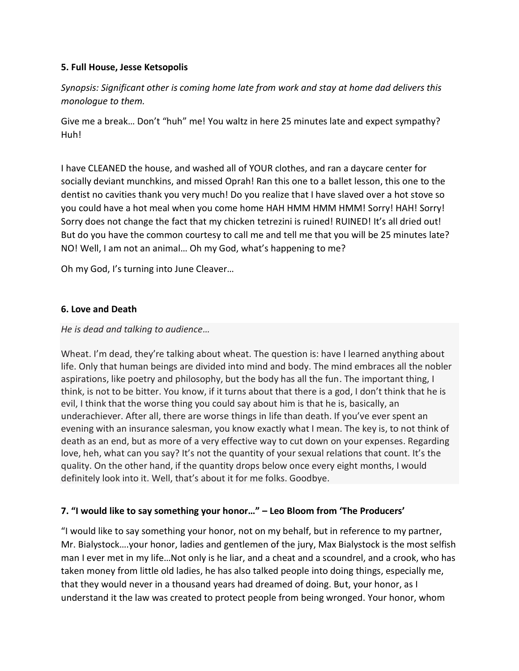#### **5. Full House, Jesse Ketsopolis**

*Synopsis: Significant other is coming home late from work and stay at home dad delivers this monologue to them.*

Give me a break… Don't "huh" me! You waltz in here 25 minutes late and expect sympathy? Huh!

I have CLEANED the house, and washed all of YOUR clothes, and ran a daycare center for socially deviant munchkins, and missed Oprah! Ran this one to a ballet lesson, this one to the dentist no cavities thank you very much! Do you realize that I have slaved over a hot stove so you could have a hot meal when you come home HAH HMM HMM HMM! Sorry! HAH! Sorry! Sorry does not change the fact that my chicken tetrezini is ruined! RUINED! It's all dried out! But do you have the common courtesy to call me and tell me that you will be 25 minutes late? NO! Well, I am not an animal… Oh my God, what's happening to me?

Oh my God, I's turning into June Cleaver…

### **6. Love and Death**

#### *He is dead and talking to audience…*

Wheat. I'm dead, they're talking about wheat. The question is: have I learned anything about life. Only that human beings are divided into mind and body. The mind embraces all the nobler aspirations, like poetry and philosophy, but the body has all the fun. The important thing, I think, is not to be bitter. You know, if it turns about that there is a god, I don't think that he is evil, I think that the worse thing you could say about him is that he is, basically, an underachiever. After all, there are worse things in life than death. If you've ever spent an evening with an insurance salesman, you know exactly what I mean. The key is, to not think of death as an end, but as more of a very effective way to cut down on your expenses. Regarding love, heh, what can you say? It's not the quantity of your sexual relations that count. It's the quality. On the other hand, if the quantity drops below once every eight months, I would definitely look into it. Well, that's about it for me folks. Goodbye.

### **7. "I would like to say something your honor…" – Leo Bloom from 'The Producers'**

"I would like to say something your honor, not on my behalf, but in reference to my partner, Mr. Bialystock….your honor, ladies and gentlemen of the jury, Max Bialystock is the most selfish man I ever met in my life…Not only is he liar, and a cheat and a scoundrel, and a crook, who has taken money from little old ladies, he has also talked people into doing things, especially me, that they would never in a thousand years had dreamed of doing. But, your honor, as I understand it the law was created to protect people from being wronged. Your honor, whom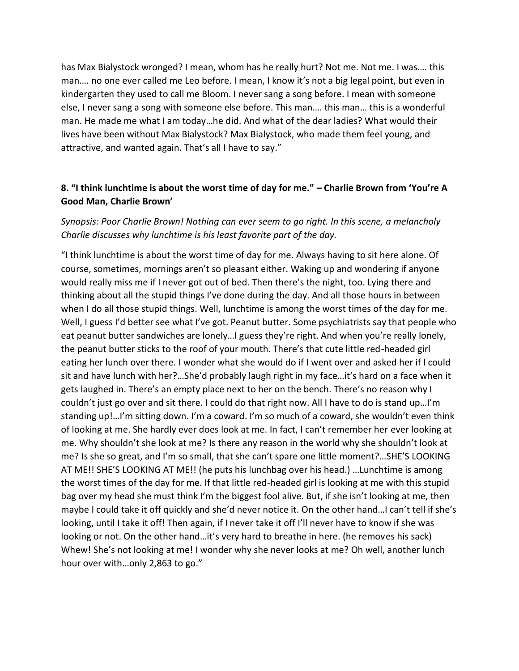has Max Bialystock wronged? I mean, whom has he really hurt? Not me. Not me. I was…. this man…. no one ever called me Leo before. I mean, I know it's not a big legal point, but even in kindergarten they used to call me Bloom. I never sang a song before. I mean with someone else, I never sang a song with someone else before. This man…. this man… this is a wonderful man. He made me what I am today…he did. And what of the dear ladies? What would their lives have been without Max Bialystock? Max Bialystock, who made them feel young, and attractive, and wanted again. That's all I have to say."

### **8. "I think lunchtime is about the worst time of day for me." – Charlie Brown from 'You're A Good Man, Charlie Brown'**

## *Synopsis: Poor Charlie Brown! Nothing can ever seem to go right. In this scene, a melancholy Charlie discusses why lunchtime is his least favorite part of the day.*

"I think lunchtime is about the worst time of day for me. Always having to sit here alone. Of course, sometimes, mornings aren't so pleasant either. Waking up and wondering if anyone would really miss me if I never got out of bed. Then there's the night, too. Lying there and thinking about all the stupid things I've done during the day. And all those hours in between when I do all those stupid things. Well, lunchtime is among the worst times of the day for me. Well, I guess I'd better see what I've got. Peanut butter. Some psychiatrists say that people who eat peanut butter sandwiches are lonely... I guess they're right. And when you're really lonely, the peanut butter sticks to the roof of your mouth. There's that cute little red-headed girl eating her lunch over there. I wonder what she would do if I went over and asked her if I could sit and have lunch with her?…She'd probably laugh right in my face…it's hard on a face when it gets laughed in. There's an empty place next to her on the bench. There's no reason why I couldn't just go over and sit there. I could do that right now. All I have to do is stand up…I'm standing up!…I'm sitting down. I'm a coward. I'm so much of a coward, she wouldn't even think of looking at me. She hardly ever does look at me. In fact, I can't remember her ever looking at me. Why shouldn't she look at me? Is there any reason in the world why she shouldn't look at me? Is she so great, and I'm so small, that she can't spare one little moment?…SHE'S LOOKING AT ME!! SHE'S LOOKING AT ME!! (he puts his lunchbag over his head.) …Lunchtime is among the worst times of the day for me. If that little red-headed girl is looking at me with this stupid bag over my head she must think I'm the biggest fool alive. But, if she isn't looking at me, then maybe I could take it off quickly and she'd never notice it. On the other hand…I can't tell if she's looking, until I take it off! Then again, if I never take it off I'll never have to know if she was looking or not. On the other hand…it's very hard to breathe in here. (he removes his sack) Whew! She's not looking at me! I wonder why she never looks at me? Oh well, another lunch hour over with…only 2,863 to go."